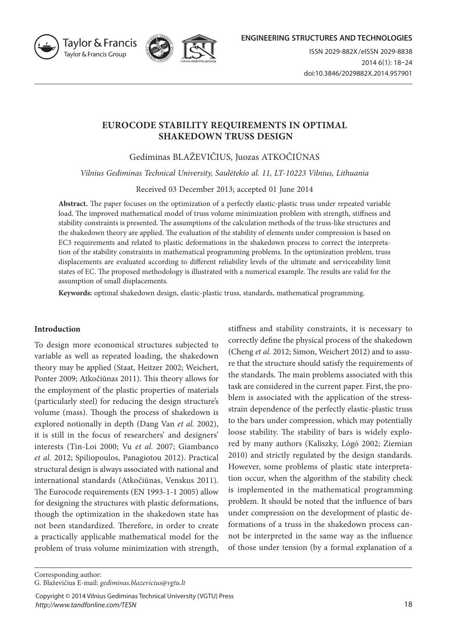



## **EUROCODE STABILITY REQUIREMENTS IN OPTIMAL SHAKEDOWN TRUSS DESIGN**

Gediminas BLAŽEVIČIUS, Juozas ATKOČIŪNAS

*Vilnius Gediminas Technical University, Saulėtekio al. 11, LT-10223 Vilnius, Lithuania*

Received 03 December 2013; accepted 01 June 2014

**Abstract.** The paper focuses on the optimization of a perfectly elastic-plastic truss under repeated variable load. The improved mathematical model of truss volume minimization problem with strength, stiffness and stability constraints is presented. The assumptions of the calculation methods of the truss-like structures and the shakedown theory are applied. The evaluation of the stability of elements under compression is based on EC3 requirements and related to plastic deformations in the shakedown process to correct the interpretation of the stability constraints in mathematical programming problems. In the optimization problem, truss displacements are evaluated according to different reliability levels of the ultimate and serviceability limit states of EC. The proposed methodology is illustrated with a numerical example. The results are valid for the assumption of small displacements.

**Keywords:** optimal shakedown design, elastic-plastic truss, standards, mathematical programming.

#### **Introduction**

To design more economical structures subjected to variable as well as repeated loading, the shakedown theory may be applied (Staat, Heitzer 2002; Weichert, Ponter 2009; Atkočiūnas 2011). This theory allows for the employment of the plastic properties of materials (particularly steel) for reducing the design structure's volume (mass). Though the process of shakedown is explored notionally in depth (Dang Van *et al.* 2002), it is still in the focus of researchers' and designers' interests (Tin-Loi 2000; Vu *et al.* 2007; Giambanco *et al.* 2012; Spiliopoulos, Panagiotou 2012). Practical structural design is always associated with national and international standards (Atkočiūnas, Venskus 2011). The Eurocode requirements (EN 1993-1-1 2005) allow for designing the structures with plastic deformations, though the optimization in the shakedown state has not been standardized. Therefore, in order to create a practically applicable mathematical model for the problem of truss volume minimization with strength,

stiffness and stability constraints, it is necessary to correctly define the physical process of the shakedown (Cheng *et al.* 2012; Simon, Weichert 2012) and to assure that the structure should satisfy the requirements of the standards. The main problems associated with this task are considered in the current paper. First, the problem is associated with the application of the stressstrain dependence of the perfectly elastic-plastic truss to the bars under compression, which may potentially loose stability. The stability of bars is widely explored by many authors (Kaliszky, Lógó 2002; Ziemian 2010) and strictly regulated by the design standards. However, some problems of plastic state interpretation occur, when the algorithm of the stability check is implemented in the mathematical programming problem. It should be noted that the influence of bars under compression on the development of plastic deformations of a truss in the shakedown process cannot be interpreted in the same way as the influence of those under tension (by a formal explanation of a

Corresponding author:

Copyright © 2014 Vilnius Gediminas Technical University (VGTU) Press *http://www.tandfonline.com/TESN*

G. Blaževičius E-mail: *gediminas.blazevicius@vgtu.lt*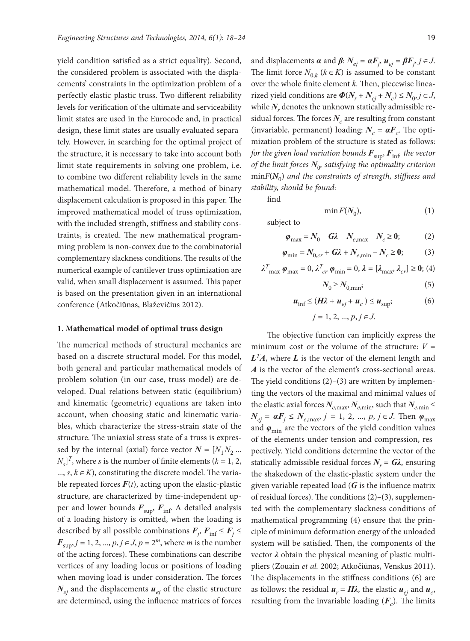yield condition satisfied as a strict equality). Second, the considered problem is associated with the displacements' constraints in the optimization problem of a perfectly elastic-plastic truss. Two different reliability levels for verification of the ultimate and serviceability limit states are used in the Eurocode and, in practical design, these limit states are usually evaluated separately. However, in searching for the optimal project of the structure, it is necessary to take into account both limit state requirements in solving one problem, i.e. to combine two different reliability levels in the same mathematical model. Therefore, a method of binary displacement calculation is proposed in this paper. The improved mathematical model of truss optimization, with the included strength, stiffness and stability constraints, is created. The new mathematical programming problem is non-convex due to the combinatorial complementary slackness conditions. The results of the numerical example of cantilever truss optimization are valid, when small displacement is assumed. This paper is based on the presentation given in an international conference (Atkočiūnas, Blaževičius 2012).

#### **1. Mathematical model of optimal truss design**

The numerical methods of structural mechanics are based on a discrete structural model. For this model, both general and particular mathematical models of problem solution (in our case, truss model) are developed. Dual relations between static (equilibrium) and kinematic (geometric) equations are taken into account, when choosing static and kinematic variables, which characterize the stress-strain state of the structure. The uniaxial stress state of a truss is expressed by the internal (axial) force vector  $N = [N_1 N_2 ...$  $N_s$ <sup>T</sup>, where *s* is the number of finite elements ( $k = 1, 2$ , ..., *s*, *k*∈ *K*), constituting the discrete model. The variable repeated forces  $F(t)$ , acting upon the elastic-plastic structure, are characterized by time-independent upper and lower bounds  $F_{\text{sup}}$ ,  $F_{\text{inf}}$ . A detailed analysis of a loading history is omitted, when the loading is described by all possible combinations  $\boldsymbol{F}_j$ ,  $\boldsymbol{F}_{\text{inf}} \leq \boldsymbol{F}_j \leq$ *<i>F*<sub>sup</sub>, *j* = 1, 2, ..., *p*, *j* ∈ *J*, *p* = 2<sup>*m*</sup>, where *m* is the number of the acting forces). These combinations can describe vertices of any loading locus or positions of loading when moving load is under consideration. The forces  $N_{ei}$  and the displacements  $u_{ei}$  of the elastic structure are determined, using the influence matrices of forces

and displacements  $\alpha$  and  $\beta$ :  $N_{ej} = \alpha F_j$ ,  $u_{ej} = \beta F_j$ ,  $j \in J$ . The limit force  $N_{0,k}$  ( $k \in K$ ) is assumed to be constant over the whole finite element *k*. Then, piecewise linearized yield conditions are  $\Phi(N_r + N_{ei} + N_c) \le N_0, j \in J$ , while  $N_r$  denotes the unknown statically admissible residual forces. The forces  $N_c$  are resulting from constant (invariable, permanent) loading:  $N_c = \alpha F_c$ . The optimization problem of the structure is stated as follows: *for the given load variation bounds*  $\mathbf{F}_{\text{sup}}$ ,  $\mathbf{F}_{\text{inf}}$  *the vector of the limit forces*  $N_{0}$  *satisfying the optimality criterion* min $F(N_0)$  and the constraints of strength, stiffness and *stability, should be found*:

find

$$
\min F(N_0),\tag{1}
$$

subject to

$$
\varphi_{\text{max}} = N_0 - G\lambda - N_{e,\text{max}} - N_c \ge 0; \tag{2}
$$

$$
\varphi_{\min} = N_{0,cr} + G\lambda + N_{e,\min} - N_c \ge 0; \tag{3}
$$

$$
\lambda_{\max}^T \boldsymbol{\varphi}_{\max} = 0, \lambda_{cr}^T \boldsymbol{\varphi}_{\min} = 0, \lambda = [\lambda_{\max}, \lambda_{cr}] \ge 0; (4)
$$

$$
N_0 \ge N_{0,\min};\tag{5}
$$

$$
\boldsymbol{u}_{\text{inf}} \leq (\boldsymbol{H}\boldsymbol{\lambda} + \boldsymbol{u}_{ej} + \boldsymbol{u}_c) \leq \boldsymbol{u}_{\text{sup}}; \tag{6}
$$

$$
j = 1, 2, ..., p, j \in J.
$$

The objective function can implicitly express the minimum cost or the volume of the structure:  $V =$  $\mathbf{L}^T A$ , where  $\mathbf{L}$  is the vector of the element length and *A* is the vector of the element's cross-sectional areas. The yield conditions  $(2)$ – $(3)$  are written by implementing the vectors of the maximal and minimal values of the elastic axial forces  $N_{e, \text{max}}$ ,  $N_{e, \text{min}}$ , such that  $N_{e, \text{min}}$  $N_{ej}$  =  $aF_j \le N_{e, \text{max}}, j = 1, 2, ..., p, j \in J$ . Then  $\varphi_{\text{max}}$ and  $\varphi_{\min}$  are the vectors of the yield condition values of the elements under tension and compression, respectively. Yield conditions determine the vector of the statically admissible residual forces  $N_r = G\lambda$ , ensuring the shakedown of the elastic-plastic system under the given variable repeated load (*G* is the influence matrix of residual forces). The conditions (2)–(3), supplemented with the complementary slackness conditions of mathematical programming (4) ensure that the principle of minimum deformation energy of the unloaded system will be satisfied. Then, the components of the vector *λ* obtain the physical meaning of plastic multipliers (Zouain *et al.* 2002; Atkočiūnas, Venskus 2011). The displacements in the stiffness conditions (6) are as follows: the residual  $u_r = H\lambda$ , the elastic  $u_{ei}$  and  $u_{ci}$ resulting from the invariable loading  $(F_c)$ . The limits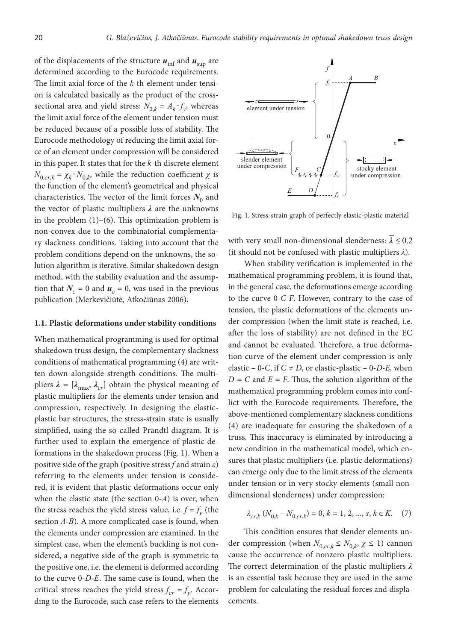of the displacements of the structure  $u_{\text{inf}}$  and  $u_{\text{sup}}$  are determined according to the Eurocode requirements. The limit axial force of the *k*-th element under tension is calculated basically as the product of the crosssectional area and yield stress:  $N_{0,k} = A_k \cdot f_y$ , whereas the limit axial force of the element under tension must be reduced because of a possible loss of stability. The Eurocode methodology of reducing the limit axial force of an element under compression will be considered in this paper. It states that for the *k*-th discrete element  $N_{0,cr,k} = \chi_k \cdot N_{0,k}$ , while the reduction coefficient *χ* is the function of the element's geometrical and physical characteristics. The vector of the limit forces  $N_0$  and the vector of plastic multipliers *λ* are the unknowns in the problem  $(1)$ – $(6)$ . This optimization problem is non-convex due to the combinatorial complementary slackness conditions. Taking into account that the problem conditions depend on the unknowns, the solution algorithm is iterative. Similar shakedown design method, with the stability evaluation and the assumption that  $N_c = 0$  and  $u_c = 0$ , was used in the previous publication (Merkevičiūtė, Atkočiūnas 2006).

#### **1.1. Plastic deformations under stability conditions**

When mathematical programming is used for optimal shakedown truss design, the complementary slackness conditions of mathematical programming (4) are written down alongside strength conditions. The multipliers  $\lambda = [\lambda_{\text{max}}, \lambda_{cr}]$  obtain the physical meaning of plastic multipliers for the elements under tension and compression, respectively. In designing the elasticplastic bar structures, the stress-strain state is usually simplified, using the so-called Prandtl diagram. It is further used to explain the emergence of plastic deformations in the shakedown process (Fig. 1). When a positive side of the graph (positive stress *f* and strain *ε*) referring to the elements under tension is considered, it is evident that plastic deformations occur only when the elastic state (the section 0-*A*) is over, when the stress reaches the yield stress value, i.e.  $f = f_y$  (the section *A-B*). A more complicated case is found, when the elements under compression are examined. In the simplest case, when the element's buckling is not considered, a negative side of the graph is symmetric to the positive one, i.e. the element is deformed according to the curve 0-*D-E*. The same case is found, when the critical stress reaches the yield stress  $f_{cr} = f_y$ . According to the Eurocode, such case refers to the elements



Fig. 1. Stress-strain graph of perfectly elastic-plastic material

with very small non-dimensional slenderness:  $\lambda \leq 0.2$ (it should not be confused with plastic multipliers *λ*).

When stability verification is implemented in the mathematical programming problem, it is found that, in the general case, the deformations emerge according to the curve 0-*C-F*. However, contrary to the case of tension, the plastic deformations of the elements under compression (when the limit state is reached, i.e. after the loss of stability) are not defined in the EC and cannot be evaluated. Therefore, a true deformation curve of the element under compression is only elastic – 0-*C*, if  $C \neq D$ , or elastic-plastic – 0-*D*-*E*, when  $D = C$  and  $E = F$ . Thus, the solution algorithm of the mathematical programming problem comes into conflict with the Eurocode requirements. Therefore, the above-mentioned complementary slackness conditions (4) are inadequate for ensuring the shakedown of a truss. This inaccuracy is eliminated by introducing a new condition in the mathematical model, which ensures that plastic multipliers (i.e. plastic deformations) can emerge only due to the limit stress of the elements under tension or in very stocky elements (small nondimensional slenderness) under compression:

$$
\lambda_{cr,k} \left( N_{0,k} - N_{0,cr,k} \right) = 0, \, k = 1, \, 2, \, \dots, \, s, \, k \in K. \tag{7}
$$

This condition ensures that slender elements under compression (when  $N_{0,cr,k} \leq N_{0,k}$ ,  $\chi \leq 1$ ) cannon cause the occurrence of nonzero plastic multipliers. The correct determination of the plastic multipliers *λ* is an essential task because they are used in the same problem for calculating the residual forces and displacements.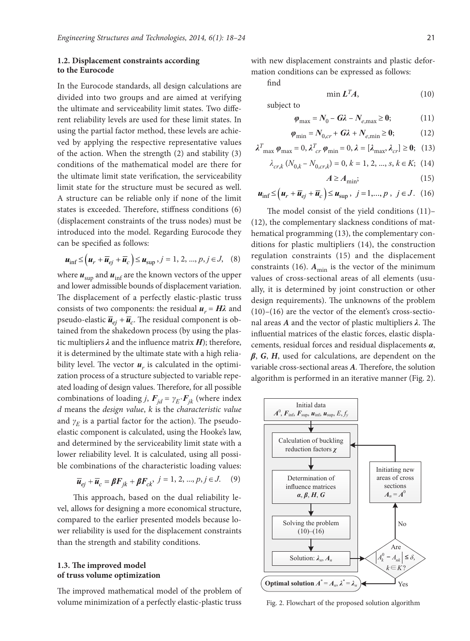### **1.2. Displacement constraints according to the Eurocode**

In the Eurocode standards, all design calculations are divided into two groups and are aimed at verifying the ultimate and serviceability limit states. Two different reliability levels are used for these limit states. In using the partial factor method, these levels are achieved by applying the respective representative values of the action. When the strength (2) and stability (3) conditions of the mathematical model are there for the ultimate limit state verification, the serviceability limit state for the structure must be secured as well. A structure can be reliable only if none of the limit states is exceeded. Therefore, stiffness conditions (6) (displacement constraints of the truss nodes) must be introduced into the model. Regarding Eurocode they can be specified as follows:

$$
\boldsymbol{u}_{\text{inf}} \leq (\boldsymbol{u}_r + \overline{\boldsymbol{u}}_{ej} + \overline{\boldsymbol{u}}_c) \leq \boldsymbol{u}_{\text{sup}}, j = 1, 2, ..., p, j \in J, (8)
$$

where  $\boldsymbol{u}_\text{sup}$  and  $\boldsymbol{u}_\text{inf}$  are the known vectors of the upper and lower admissible bounds of displacement variation. The displacement of a perfectly elastic-plastic truss consists of two components: the residual  $u_r = H\lambda$  and pseudo-elastic  $\overline{u}_{ei} + \overline{u}_{c}$ . The residual component is obtained from the shakedown process (by using the plastic multipliers *λ* and the influence matrix *H*); therefore, it is determined by the ultimate state with a high reliability level. The vector  $u_r$  is calculated in the optimization process of a structure subjected to variable repeated loading of design values. Therefore, for all possible combinations of loading *j*,  $\mathbf{F}_{id} = \gamma_E \cdot \mathbf{F}_{jk}$  (where index *d* means the *design value*, *k* is the *characteristic value* and  $\gamma_E$  is a partial factor for the action). The pseudoelastic component is calculated, using the Hooke's law, and determined by the serviceability limit state with a lower reliability level. It is calculated, using all possible combinations of the characteristic loading values:

$$
\overline{\boldsymbol{u}}_{ej} + \overline{\boldsymbol{u}}_c = \boldsymbol{\beta} \boldsymbol{F}_{jk} + \boldsymbol{\beta} \boldsymbol{F}_{ck}, \ j = 1, 2, ..., p, j \in J. \tag{9}
$$

This approach, based on the dual reliability level, allows for designing a more economical structure, compared to the earlier presented models because lower reliability is used for the displacement constraints than the strength and stability conditions.

### **1.3. The improved model of truss volume optimization**

The improved mathematical model of the problem of volume minimization of a perfectly elastic-plastic truss

with new displacement constraints and plastic deformation conditions can be expressed as follows:

find

min  $L<sup>T</sup>A$ , (10)

subject to

$$
\varphi_{\text{max}} = N_0 - G\lambda - N_{e,\text{max}} \ge 0; \tag{11}
$$

$$
\varphi_{\min} = N_{0,cr} + G\lambda + N_{e,\min} \ge 0; \tag{12}
$$

$$
\lambda_{\max}^T \varphi_{\max} = 0, \lambda_{cr}^T \varphi_{\min} = 0, \lambda = [\lambda_{\max}, \lambda_{cr}] \ge 0; \quad (13)
$$

$$
\lambda_{cr,k} \left( N_{0,k} - N_{0,cr,k} \right) = 0, \, k = 1, \, 2, \, \dots, \, s, \, k \in K; \, (14)
$$

$$
A \ge A_{\min};\tag{15}
$$

$$
\boldsymbol{u}_{\text{inf}} \leq (\boldsymbol{u}_r + \overline{\boldsymbol{u}}_{ej} + \overline{\boldsymbol{u}}_c) \leq \boldsymbol{u}_{\text{sup}} , \ \ j = 1, ..., p , \ \ j \in J. \tag{16}
$$

The model consist of the yield conditions (11)– (12), the complementary slackness conditions of mathematical programming (13), the complementary conditions for plastic multipliers (14), the construction regulation constraints (15) and the displacement constraints (16).  $A_{\text{min}}$  is the vector of the minimum values of cross-sectional areas of all elements (usually, it is determined by joint construction or other design requirements). The unknowns of the problem  $(10)$ – $(16)$  are the vector of the element's cross-sectional areas *A* and the vector of plastic multipliers *λ*. The influential matrices of the elastic forces, elastic displacements, residual forces and residual displacements *α*, *β*, *G*, *H*, used for calculations, are dependent on the variable cross-sectional areas *A.* Therefore, the solution algorithm is performed in an iterative manner (Fig. 2).



Fig. 2. Flowchart of the proposed solution algorithm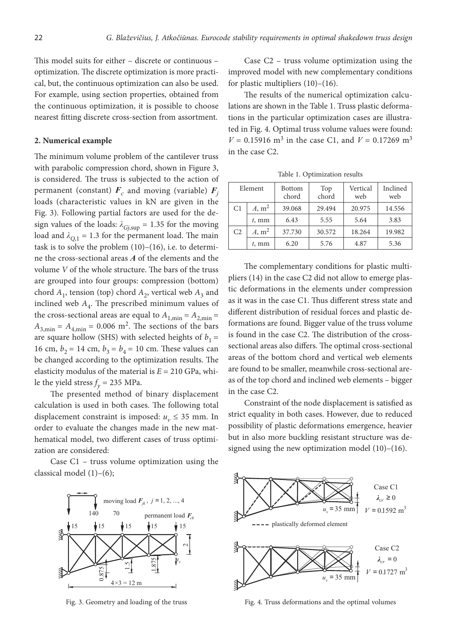This model suits for either – discrete or continuous – optimization. The discrete optimization is more practical, but, the continuous optimization can also be used. For example, using section properties, obtained from the continuous optimization, it is possible to choose nearest fitting discrete cross-section from assortment.

#### **2. Numerical example**

The minimum volume problem of the cantilever truss with parabolic compression chord, shown in Figure 3, is considered. The truss is subjected to the action of permanent (constant)  $\mathbf{F}_c$  and moving (variable)  $\mathbf{F}_i$ loads (characteristic values in kN are given in the Fig. 3). Following partial factors are used for the design values of the loads:  $\lambda_{Gj,sup} = 1.35$  for the moving load and  $\lambda_{O,1} = 1.3$  for the permanent load. The main task is to solve the problem  $(10)$ – $(16)$ , i.e. to determine the cross-sectional areas *A* of the elements and the volume *V* of the whole structure. The bars of the truss are grouped into four groups: compression (bottom) chord  $A_1$ , tension (top) chord  $A_2$ , vertical web  $A_3$  and inclined web  $A_4$ . The prescribed minimum values of the cross-sectional areas are equal to  $A_{1,\text{min}} = A_{2,\text{min}} =$  $A_{3,\text{min}} = A_{4,\text{min}} = 0.006 \text{ m}^2$ . The sections of the bars are square hollow (SHS) with selected heights of  $b_1 =$ 16 cm,  $b_2 = 14$  cm,  $b_3 = b_4 = 10$  cm. These values can be changed according to the optimization results. The elasticity modulus of the material is *E* = 210 GPa, while the yield stress  $f_y = 235 \text{ MPa}$ .

The presented method of binary displacement calculation is used in both cases. The following total displacement constraint is imposed:  $u_v \leq 35$  mm. In order to evaluate the changes made in the new mathematical model, two different cases of truss optimization are considered:

Case C1 – truss volume optimization using the classical model (1)–(6);



Fig. 3. Geometry and loading of the truss

Case C2 – truss volume optimization using the improved model with new complementary conditions for plastic multipliers (10)–(16).

The results of the numerical optimization calculations are shown in the Table 1. Truss plastic deformations in the particular optimization cases are illustrated in Fig. 4. Optimal truss volume values were found:  $V = 0.15916$  m<sup>3</sup> in the case C1, and  $V = 0.17269$  m<sup>3</sup> in the case C2.

| Element        |                   | <b>Bottom</b><br>chord | Top<br>chord | Vertical<br>web | Inclined<br>web |
|----------------|-------------------|------------------------|--------------|-----------------|-----------------|
| C1             | A, m <sup>2</sup> | 39.068                 | 29.494       | 20.975          | 14.556          |
|                | $t$ , mm          | 6.43                   | 5.55         | 5.64            | 3.83            |
| C <sub>2</sub> | A, m <sup>2</sup> | 37.730                 | 30.572       | 18.264          | 19.982          |
|                | $t$ , mm          | 6.20                   | 5.76         | 4.87            | 5.36            |

Table 1. Optimization results

The complementary conditions for plastic multipliers (14) in the case C2 did not allow to emerge plastic deformations in the elements under compression as it was in the case C1. Thus different stress state and different distribution of residual forces and plastic deformations are found. Bigger value of the truss volume is found in the case C2. The distribution of the crosssectional areas also differs. The optimal cross-sectional areas of the bottom chord and vertical web elements are found to be smaller, meanwhile cross-sectional areas of the top chord and inclined web elements – bigger in the case C2.

Constraint of the node displacement is satisfied as strict equality in both cases. However, due to reduced possibility of plastic deformations emergence, heavier but in also more buckling resistant structure was designed using the new optimization model (10)–(16).



Fig. 4. Truss deformations and the optimal volumes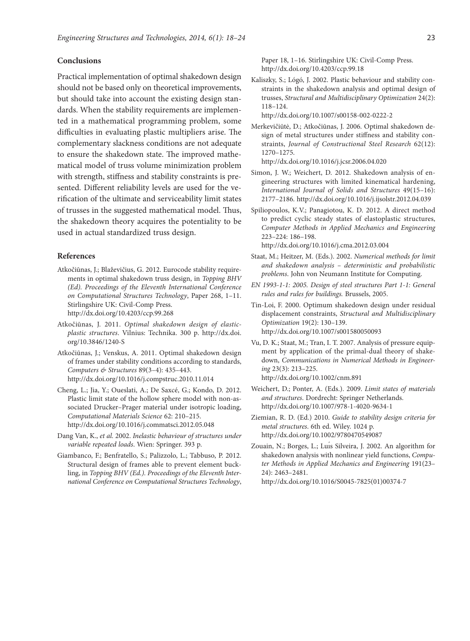## **Conclusions**

Practical implementation of optimal shakedown design should not be based only on theoretical improvements, but should take into account the existing design standards. When the stability requirements are implemented in a mathematical programming problem, some difficulties in evaluating plastic multipliers arise. The complementary slackness conditions are not adequate to ensure the shakedown state. The improved mathematical model of truss volume minimization problem with strength, stiffness and stability constraints is presented. Different reliability levels are used for the verification of the ultimate and serviceability limit states of trusses in the suggested mathematical model. Thus, the shakedown theory acquires the potentiality to be used in actual standardized truss design.

#### **References**

- Atkočiūnas, J.; Blaževičius, G. 2012. Eurocode stability requirements in optimal shakedown truss design, in *Topping BHV (Ed). Proceedings of the Eleventh International Conference on Computational Structures Technology*, Paper 268, 1–11. Stirlingshire UK: Civil-Comp Press. http://dx.doi.org/10.4203/ccp.99.268
- Atkočiūnas, J. 2011. *Optimal shakedown design of elasticplastic structures*. Vilnius: Technika. 300 p. http://dx.doi. org/10.3846/1240-S
- Atkočiūnas, J.; Venskus, A. 2011. Optimal shakedown design of frames under stability conditions according to standards, *Computers & Structures* 89(3–4): 435–443. http://dx.doi.org/10.1016/j.compstruc.2010.11.014
- Cheng, L.; Jia, Y.; Oueslati, A.; De Saxcé, G.; Kondo, D. 2012. Plastic limit state of the hollow sphere model with non-associated Drucker–Prager material under isotropic loading, *Computational Materials Science* 62: 210–215. http://dx.doi.org/10.1016/j.commatsci.2012.05.048
- Dang Van, K., *et al.* 2002. *Inelastic behaviour of structures under variable repeated loads*. Wien: Springer. 393 p.
- Giambanco, F.; Benfratello, S.; Palizzolo, L.; Tabbuso, P. 2012. Structural design of frames able to prevent element buckling, in *Topping BHV (Ed.). Proceedings of the Eleventh International Conference on Computational Structures Technology*,

Paper 18, 1–16. Stirlingshire UK: Civil-Comp Press. http://dx.doi.org/10.4203/ccp.99.18

Kaliszky, S.; Lógó, J. 2002. Plastic behaviour and stability constraints in the shakedown analysis and optimal design of trusses, *Structural and Multidisciplinary Optimization* 24(2): 118–124.

http://dx.doi.org/10.1007/s00158-002-0222-2

Merkevičiūtė, D.; Atkočiūnas, J. 2006. Optimal shakedown design of metal structures under stiffness and stability constraints, *Journal of Constructional Steel Research* 62(12): 1270–1275.

http://dx.doi.org/10.1016/j.jcsr.2006.04.020

- Simon, J. W.; Weichert, D. 2012. Shakedown analysis of engineering structures with limited kinematical hardening, *International Journal of Solids and Structures* 49(15–16): 2177–2186. http://dx.doi.org/10.1016/j.ijsolstr.2012.04.039
- Spiliopoulos, K.V.; Panagiotou, K. D. 2012. A direct method to predict cyclic steady states of elastoplastic structures, *Computer Methods in Applied Mechanics and Engineering* 223–224: 186–198. http://dx.doi.org/10.1016/j.cma.2012.03.004
- Staat, M.; Heitzer, M. (Eds.). 2002. *Numerical methods for limit and shakedown analysis – deterministic and probabilistic problems*. John von Neumann Institute for Computing.
- *EN 1993-1-1: 2005. Design of steel structures Part 1-1: General rules and rules for buildings.* Brussels, 2005.
- Tin-Loi, F. 2000. Optimum shakedown design under residual displacement constraints, *Structural and Multidisciplinary Optimization* 19(2): 130–139. http://dx.doi.org/10.1007/s001580050093
- Vu, D. K.; Staat, M.; Tran, I. T. 2007. Analysis of pressure equipment by application of the primal-dual theory of shakedown, *Communications in Numerical Methods in Engineering* 23(3): 213–225. http://dx.doi.org/10.1002/cnm.891
- Weichert, D.; Ponter, A. (Eds.). 2009. *Limit states of materials and structures*. Dordrecht: Springer Netherlands. http://dx.doi.org/10.1007/978-1-4020-9634-1
- Ziemian, R. D. (Ed.) 2010. *Guide to stability design criteria for metal structures*. 6th ed. Wiley. 1024 p. http://dx.doi.org/10.1002/9780470549087
- Zouain, N.; Borges, L.; Luı́s Silveira, J. 2002. An algorithm for shakedown analysis with nonlinear yield functions, *Computer Methods in Applied Mechanics and Engineering* 191(23– 24): 2463–2481.

http://dx.doi.org/10.1016/S0045-7825(01)00374-7